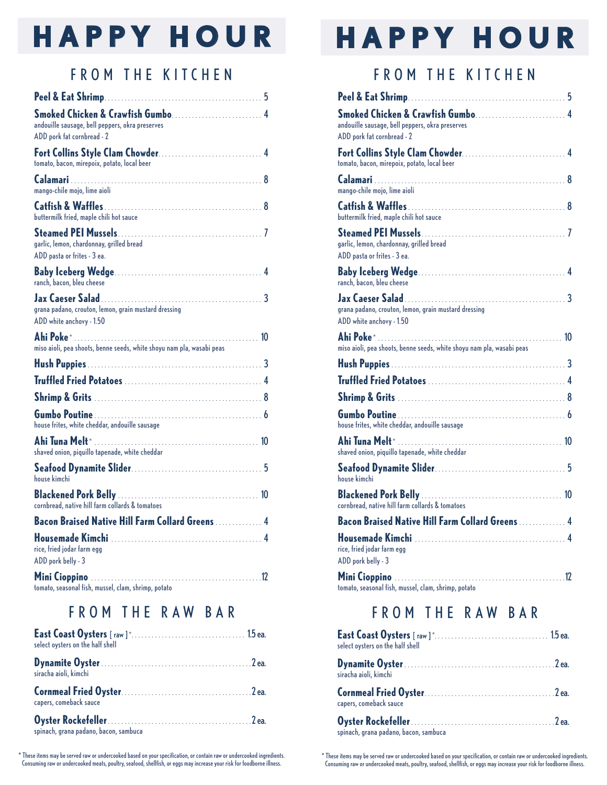# **HAPPY HOUR**

### **FROM THE KITCHEN**

|                                                                                  | 5 |
|----------------------------------------------------------------------------------|---|
| andouille sausage, bell peppers, okra preserves<br>ADD pork fat cornbread - 2    |   |
| tomato, bacon, mirepoix, potato, local beer                                      |   |
| mango-chile mojo, lime aioli                                                     |   |
| buttermilk fried, maple chili hot sauce                                          |   |
| garlic, lemon, chardonnay, grilled bread<br>ADD pasta or frites - 3 ea.          |   |
| ranch, bacon, bleu cheese                                                        |   |
| grana padano, crouton, lemon, grain mustard dressing<br>ADD white anchovy - 1.50 |   |
| miso aioli, pea shoots, benne seeds, white shoyu nam pla, wasabi peas            |   |
|                                                                                  |   |
|                                                                                  |   |
|                                                                                  |   |
| house frites, white cheddar, andouille sausage                                   |   |
| Ahi Tuna Melt*<br>shaved onion, piquillo tapenade, white cheddar                 |   |
| house kimchi                                                                     |   |
| cornbread, native hill farm collards & tomatoes                                  |   |
| Bacon Braised Native Hill Farm Collard Greens  4                                 |   |
| <b>Housemade Kimchi</b><br>rice, fried jodar farm egg<br>ADD pork belly - 3      |   |
| tomato, seasonal fish, mussel, clam, shrimp, potato                              |   |

#### **FROM THE RAW BAR**

| select oysters on the half shell      |  |
|---------------------------------------|--|
| siracha aioli, kimchi                 |  |
| capers, comeback sauce                |  |
| spinach, grana padano, bacon, sambuca |  |

\* These items may be served raw or undercooked based on your specification, or contain raw or undercooked ingredients.<br>Consuming raw or undercooked meats, poultry, seafood, shellfish, or eggs may increase your risk for foo